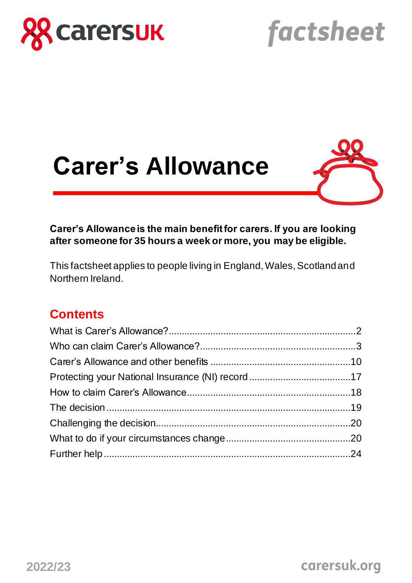

# factsheet

# **Carer's Allowance**



#### **Carer's Allowance is the main benefit for carers. If you are looking after someone for 35 hours a week or more, you may be eligible.**

This factsheet applies to people living in England, Wales, Scotland and Northern Ireland.

### **Contents**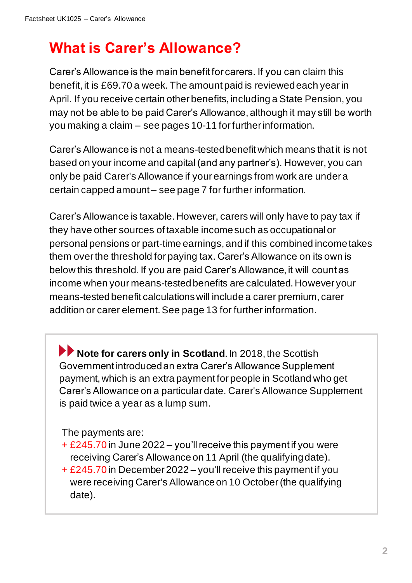# **What is Carer's Allowance?**

Carer's Allowance is the main benefit for carers. If you can claim this benefit, it is £69.70 a week. The amount paid is reviewed each year in April. If you receive certain other benefits, including a State Pension, you may not be able to be paid Carer's Allowance, although it may still be worth you making a claim – see pages 10-11 for further information.

Carer's Allowance is not a means-tested benefit which means that it is not based on your income and capital(and any partner's). However, you can only be paid Carer's Allowance if your earnings from work are under a certain capped amount – see page 7 for further information.

Carer's Allowance is taxable. However, carers will only have to pay tax if they have other sources of taxable income such as occupational or personal pensions or part-time earnings, and if this combined income takes them over the threshold for paying tax. Carer's Allowance on its own is below this threshold. If you are paid Carer's Allowance, it will count as income when your means-tested benefits are calculated. However your means-tested benefit calculations will include a carer premium, carer addition or carer element. See page 13 for further information.

**Note for carers only in Scotland.** In 2018, the Scottish Government introduced an extra Carer's Allowance Supplement payment, which is an extra payment for people in Scotland who get Carer's Allowance on a particular date. Carer's Allowance Supplement is paid twice a year as a lump sum.

The payments are:

- + £245.70 in June 2022 you'll receive this payment if you were receiving Carer's Allowance on 11 April (the qualifying date).
- + £245.70 in December 2022 you'll receive this payment if you were receiving Carer's Allowance on 10 October(the qualifying date).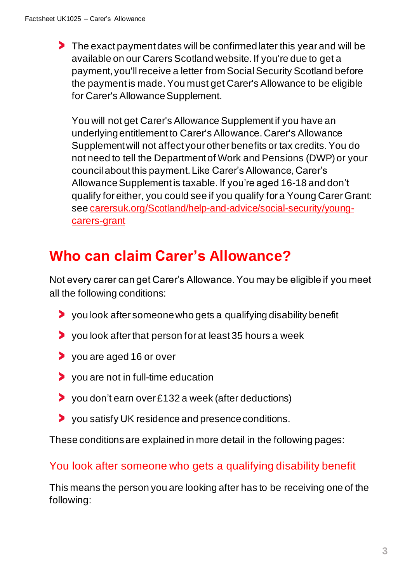The exact payment dates will be confirmed later this year and will be available on our Carers Scotland website. If you're due to get a payment, you'll receive a letter from Social Security Scotland before the payment is made. You must get Carer's Allowance to be eligible for Carer's Allowance Supplement.

You will not get Carer's Allowance Supplement if you have an underlying entitlement to Carer's Allowance. Carer's Allowance Supplement will not affect your other benefits or tax credits. You do not need to tell the Department of Work and Pensions (DWP) or your council about this payment. Like Carer's Allowance, Carer's Allowance Supplement is taxable. If you're aged 16-18 and don't qualify for either, you could see if you qualify for a Young Carer Grant: se[e carersuk.org/Scotland/help-and-advice/social-security/young](https://www.carersuk.org/Scotland/help-and-advice/social-security/young-carers-grant)[carers-grant](https://www.carersuk.org/Scotland/help-and-advice/social-security/young-carers-grant)

# **Who can claim Carer's Allowance?**

Not every carer can get Carer's Allowance. You may be eligible if you meet all the following conditions:

- you look after someone who gets a qualifying disability benefit
- you look after that person for at least 35 hours a week
- you are aged 16 or over
- you are not in full-time education
- you don't earn over £132 a week (after deductions)
- you satisfy UK residence and presence conditions.

These conditions are explained in more detail in the following pages:

#### You look after someone who gets a qualifying disability benefit

This means the person you are looking after has to be receiving one of the following: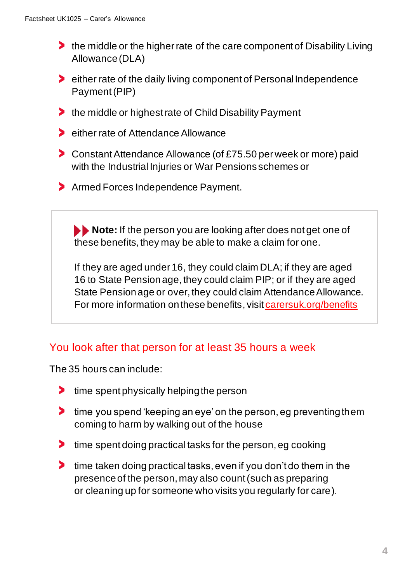- If the middle or the higher rate of the care component of Disability Living Allowance (DLA)
- **EXECUTE:** 1.1 The rate of the daily living component of Personal Independence Payment (PIP)
- **the middle or highest rate of Child Disability Payment**
- **Example 1 Fig. 2** either rate of Attendance Allowance
- **Constant Attendance Allowance (of £75.50 per week or more) paid** with the Industrial Injuries or War Pensions schemes or
- **Armed Forces Independence Payment.**

**Note:** If the person you are looking after does not get one of these benefits, they may be able to make a claim for one.

If they are aged under 16, they could claim DLA; if they are aged 16 to State Pensionage, they could claim PIP; or if they are aged State Pension age or over, they could claim Attendance Allowance. For more information on these benefits, visi[t carersuk.org/benefits](https://www.carersuk.org/help-and-advice/financial-support/help-with-benefits)

#### You look after that person for at least 35 hours a week

The 35 hours can include:

- time spent physically helping the person ⋗
- ⋗ time you spend 'keeping an eye' on the person, eg preventing them coming to harm by walking out of the house
- **time spent doing practical tasks for the person, eg cooking**
- **time taken doing practical tasks, even if you don't do them in the** presence of the person, may also count (such as preparing or cleaning up for someone who visits you regularly for care).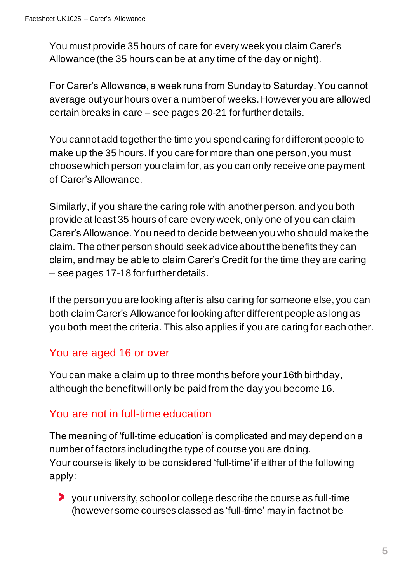You must provide 35 hours of care for every week you claim Carer's Allowance (the 35 hours can be at any time of the day or night).

For Carer's Allowance, a week runs from Sunday to Saturday. You cannot average out your hours over a number of weeks. However you are allowed certain breaks in care – see pages 20-21 for further details.

You cannot add together the time you spend caring for different people to make up the 35 hours. If you care for more than one person, you must choose which person you claim for, as you can only receive one payment of Carer's Allowance.

Similarly, if you share the caring role with another person, and you both provide at least 35 hours of care every week, only one of you can claim Carer's Allowance. You need to decide between you who should make the claim. The other person should seek advice about the benefits they can claim, and may be able to claim Carer's Credit for the time they are caring – see pages 17-18 for further details.

If the person you are looking after is also caring for someone else, you can both claim Carer's Allowance for looking after different people as long as you both meet the criteria. This also applies if you are caring for each other.

#### You are aged 16 or over

You can make a claim up to three months before your 16th birthday, although the benefit will only be paid from the day you become 16.

#### You are not in full-time education

The meaning of 'full-time education' is complicated and may depend on a number of factors including the type of course you are doing. Your course is likely to be considered 'full-time' if either of the following apply:

your university, school or college describe the course as full-time (however some courses classed as 'full-time' may in fact not be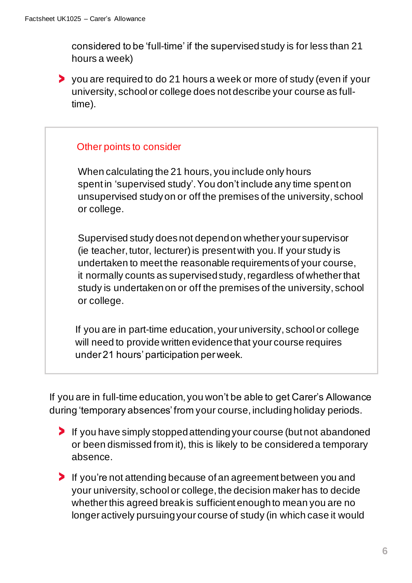considered to be 'full-time' if the supervisedstudy is for less than 21 hours a week)

you are required to do 21 hours a week or more of study (even if your university, school or college does not describe your course as fulltime).

#### Other points to consider

 When calculating the 21 hours, you include only hours spent in 'supervised study'. You don't include any time spent on unsupervised study on or off the premises of the university, school or college.

Supervised study does not depend on whether your supervisor (ie teacher, tutor, lecturer) is present with you. If your study is undertaken to meet the reasonable requirementsof your course, it normally counts as supervised study, regardless of whether that study is undertaken on or off the premises of the university, school or college.

If you are in part-time education, your university, school or college will need to provide written evidence that your course requires under 21 hours' participation per week.

If you are in full-time education, you won't be able to get Carer's Allowance during 'temporary absences' from your course, including holiday periods.

- If you have simply stopped attending your course (but not abandoned or been dismissed from it), this is likely to be considered a temporary absence.
- If you're not attending because of an agreement between you and your university, school or college, the decision maker has to decide whether this agreed break is sufficient enough to mean you are no longer actively pursuing your course of study (in which case it would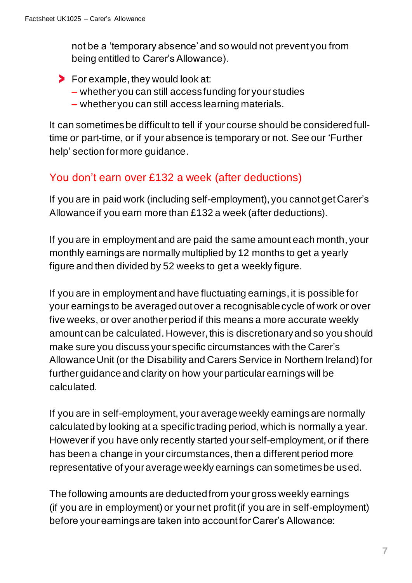not be a 'temporary absence' and so would not prevent you from being entitled to Carer's Allowance).

- **For example, they would look at:** 
	- **–** whether you can still access funding for your studies
	- **–** whether you can still access learning materials.

It can sometimes be difficult to tell if your course should be considered fulltime or part-time, or if your absence is temporary or not. See our 'Further help' section for more guidance.

#### You don't earn over £132 a week (after deductions)

If you are in paid work (including self-employment), you cannot get Carer's Allowance if you earn more than £132 a week (after deductions).

If you are in employment and are paid the same amount each month, your monthly earnings are normally multiplied by 12 months to get a yearly figure and then divided by 52 weeks to get a weekly figure.

If you are in employment and have fluctuating earnings, it is possible for your earnings to be averaged out over a recognisable cycle of work or over five weeks, or over another period if this means a more accurate weekly amount can be calculated.However, this is discretionaryand so you should make sure you discuss your specific circumstances with the Carer's Allowance Unit (or the Disability and Carers Service in Northern Ireland) for further guidance and clarity on how your particular earnings will be calculated.

If you are in self-employment, your average weekly earnings are normally calculated by looking at a specific trading period, which is normally a year. Howeverif you have only recently started your self-employment, or if there has been a change in your circumstances, then a different period more representative of your average weekly earnings can sometimes be used.

The following amounts are deducted from your gross weekly earnings (if you are in employment) or your net profit (if you are in self-employment) before your earnings are taken into account for Carer's Allowance: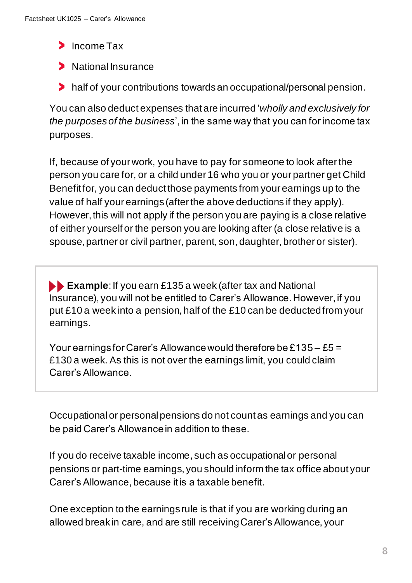- Income Tax
- > National Insurance
- half of your contributions towards an occupational/personal pension.

You can also deduct expenses that are incurred '*wholly and exclusively for the purposes of the business*', in the same way that you can for income tax purposes.

If, because of your work, you have to pay for someone to look after the person you care for, or a child under 16 who you or your partner get Child Benefit for, you can deduct those payments from your earnings up to the value of half your earnings (after the above deductions if they apply). However, this will not apply if the person you are paying is a close relative of either yourself or the person you are looking after (a close relative is a spouse, partner or civil partner, parent, son, daughter, brother or sister).

**Example:** If you earn £135 a week (after tax and National Insurance), you will not be entitled to Carer's Allowance. However, if you put £10 a week into a pension, half of the £10 can be deducted from your earnings.

Your earnings for Carer's Allowance would therefore be £135 – £5 = £130 a week. As this is not over the earnings limit, you could claim Carer's Allowance.

Occupational or personal pensions do not count as earnings and you can be paid Carer's Allowance in addition to these.

If you do receive taxable income, such as occupational or personal pensions or part-time earnings, you should inform the tax office about your Carer's Allowance, because it is a taxable benefit.

One exception to the earnings rule is that if you are working during an allowed break in care, and are still receiving Carer's Allowance, your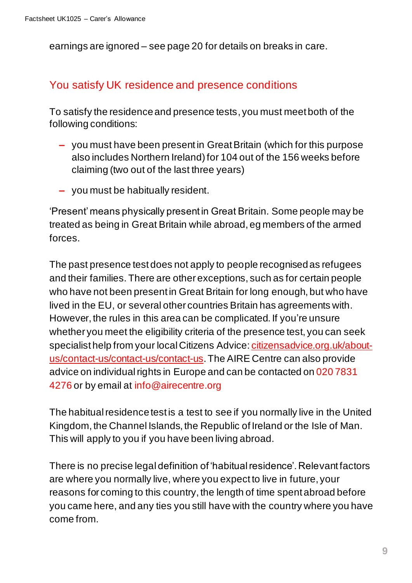earnings are ignored – see page 20 for details on breaks in care.

#### You satisfy UK residence and presence conditions

To satisfy the residence and presence tests, you must meet both of the following conditions:

- **–** you must have been present in Great Britain (which for this purpose also includes Northern Ireland) for 104 out of the 156 weeks before claiming (two out of the last three years)
- **–** you must be habitually resident.

'Present' means physically present in Great Britain. Some people may be treated as being in Great Britain while abroad, eg members of the armed forces.

The past presence test does not apply to people recognised as refugees and their families. There are other exceptions, such as for certain people who have not been present in Great Britain for long enough, but who have lived in the EU, or several other countries Britain has agreements with. However, the rules in this area can be complicated. If you're unsure whether you meet the eligibility criteria of the presence test, you can seek specialist help from your local Citizens Advice[: citizensadvice.org.uk/about](https://www.citizensadvice.org.uk/about-us/contact-us/contact-us/contact-us/)[us/contact-us/contact-us/contact-us](https://www.citizensadvice.org.uk/about-us/contact-us/contact-us/contact-us/).The AIRE Centre can also provide advice on individual rights in Europe and can be contacted on 020 7831 4276 or by email at [info@airecentre.org](mailto:info@airecentre.org)

The habitual residence test is a test to see if you normally live in the United Kingdom, the Channel Islands, the Republic of Ireland or the Isle of Man. This will apply to you if you have been living abroad.

There is no precise legal definition of 'habitual residence'. Relevant factors are where you normally live, where you expect to live in future, your reasons for coming to this country, the length of time spent abroad before you came here, and any ties you still have with the country where you have come from.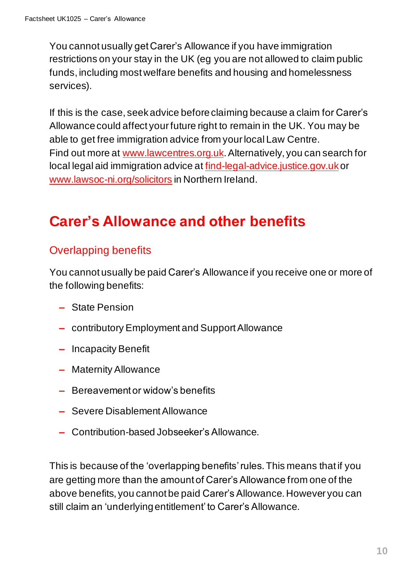You cannot usually get Carer's Allowance if you have immigration restrictions on your stay in the UK (eg you are not allowed to claim public funds, including most welfare benefits and housing and homelessness services).

If this is the case, seek advice before claiming because a claim for Carer's Allowance could affect your future right to remain in the UK. You may be able to get free immigration advice from your local Law Centre. Find out more at [www.lawcentres.org.uk](https://www.lawcentres.org.uk/). Alternatively, you can search for local legal aid immigration advice at [find-legal-advice.justice.gov.uk](https://find-legal-advice.justice.gov.uk/)or [www.lawsoc-ni.org/solicitors](https://www.lawsoc-ni.org/solicitors) in Northern IreIand.

# **Carer's Allowance and other benefits**

#### Overlapping benefits

You cannot usually be paid Carer's Allowance if you receive one or more of the following benefits:

- **–** State Pension
- **–** contributory Employment and Support Allowance
- **–** Incapacity Benefit
- **–** Maternity Allowance
- **–** Bereavement or widow's benefits
- **–** Severe Disablement Allowance
- **–** Contribution-based Jobseeker's Allowance.

This is because of the 'overlapping benefits' rules. This means that if you are getting more than the amount of Carer's Allowance from one of the above benefits, you cannot be paid Carer's Allowance.However you can still claim an 'underlying entitlement' to Carer's Allowance.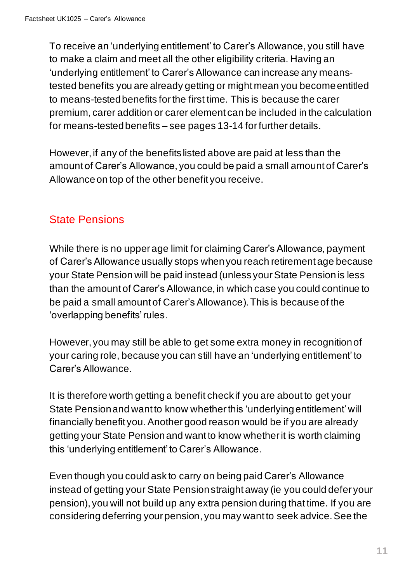To receive an 'underlying entitlement' to Carer's Allowance, you still have to make a claim and meet all the other eligibility criteria. Having an 'underlying entitlement' to Carer's Allowance can increase any meanstested benefits you are already getting or might mean you become entitled to means-tested benefits for the first time. This is because the carer premium, carer addition or carer element can be included in the calculation for means-tested benefits – see pages 13-14 for further details.

However, if any of the benefits listed above are paid at less than the amount of Carer's Allowance, you could be paid a small amount of Carer's Allowance on top of the other benefit you receive.

#### State Pensions

While there is no upper age limit for claiming Carer's Allowance, payment of Carer's Allowance usually stops when you reach retirement age because your State Pension will be paid instead (unless your State Pension is less than the amount of Carer's Allowance, in which case you could continue to be paid a small amount of Carer's Allowance). This is because of the 'overlapping benefits' rules.

However, you may still be able to get some extra money in recognition of your caring role, because you can still have an 'underlying entitlement' to Carer's Allowance.

It is therefore worth getting a benefit check if you are about to get your State Pension and want to know whether this 'underlying entitlement' will financially benefit you.Another good reason would be if you are already getting your State Pension and want to know whether it is worth claiming this 'underlying entitlement' to Carer's Allowance.

Even though you could ask to carry on being paid Carer's Allowance instead of getting your State Pension straight away (ie you could defer your pension), you will not build up any extra pension during that time. If you are considering deferring your pension, you may want to seek advice. See the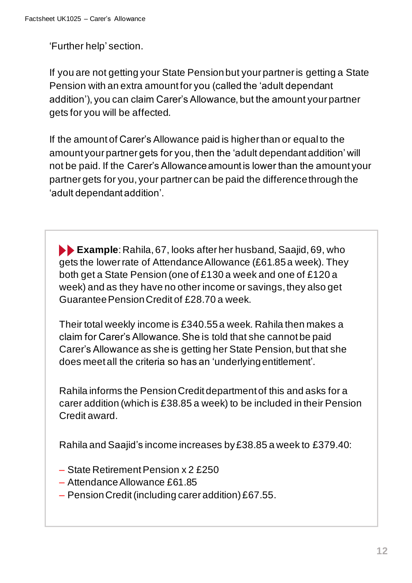'Further help' section.

If you are not getting your State Pension but your partner is getting a State Pension with an extra amount for you (called the 'adult dependant addition'), you can claim Carer's Allowance, but the amount your partner gets for you will be affected.

If the amount of Carer's Allowance paid is higher than or equal to the amount your partner gets for you, then the 'adult dependant addition' will not be paid. If the Carer's Allowance amount is lower than the amount your partner gets for you, your partner can be paid the differencethrough the 'adult dependant addition'.

**Example**: Rahila, 67, looks after her husband, Saajid, 69, who gets the lower rate of Attendance Allowance (£61.85a week). They both get a State Pension (one of £130 a week and one of £120 a week) and as they have no other income or savings, they also get Guarantee Pension Credit of £28.70 a week.

Their total weekly income is £340.55a week. Rahila then makes a claim for Carer's Allowance. She is told that she cannot be paid Carer's Allowance as she is getting her State Pension, but that she does meet all the criteria so has an 'underlying entitlement'.

Rahila informs the Pension Credit department of this and asks for a carer addition (which is £38.85 a week) to be included in their Pension Credit award.

Rahila and Saajid's income increases by £38.85 a week to £379.40:

- State Retirement Pension x 2 £250
- Attendance Allowance £61.85
- $-$  Pension Credit (including carer addition) £67.55.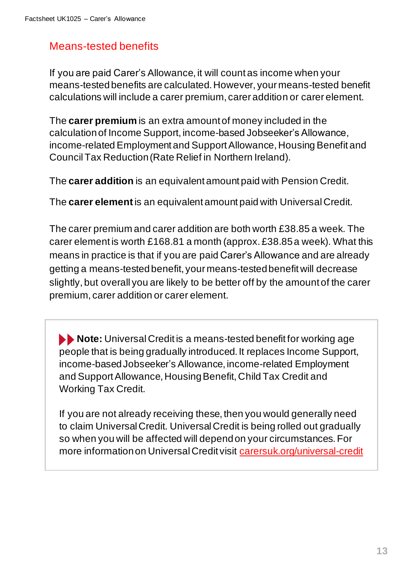#### Means-tested benefits

If you are paid Carer's Allowance, it will count as income when your means-tested benefits are calculated. However, your means-tested benefit calculations will include a carer premium, carer addition or carer element.

The **carer premium** is an extra amount of money included in the calculationof Income Support, income-based Jobseeker's Allowance, income-related Employment and Support Allowance, Housing Benefit and Council Tax Reduction (Rate Relief in Northern Ireland).

The **carer addition** is an equivalent amount paid with Pension Credit.

The **carer element**is an equivalent amount paid with Universal Credit.

The carer premium and carer addition are both worth £38.85 a week. The carer element is worth £168.81 a month (approx. £38.85a week). What this means in practice is that if you are paid Carer's Allowance and are already getting a means-tested benefit, your means-tested benefit will decrease slightly, but overall you are likely to be better off by the amount of the carer premium, carer addition or carer element.

**Note:** Universal Credit is a means-tested benefit for working age people that is being gradually introduced. It replaces Income Support, income-based Jobseeker's Allowance, income-related Employment and Support Allowance, Housing Benefit, Child Tax Credit and Working Tax Credit.

If you are not already receiving these, then you would generally need to claim Universal Credit. Universal Credit is being rolled out gradually so when you will be affected will depend on your circumstances. For more information on Universal Credit visit [carersuk.org/universal-credit](https://www.carersuk.org/help-and-advice/financial-support/help-with-benefits/universal-credit)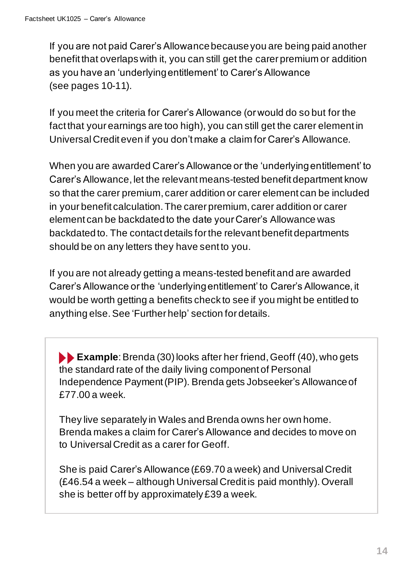If you are not paid Carer's Allowance because you are being paid another benefit that overlapswith it, you can still get the carer premium or addition as you have an 'underlyingentitlement' to Carer's Allowance (see pages 10-11).

If you meet the criteria for Carer's Allowance (or would do so but for the fact that your earnings are too high), you can still get the carer element in Universal Credit even if you don't make a claim for Carer's Allowance.

When you are awarded Carer's Allowance or the 'underlying entitlement' to Carer's Allowance, let the relevant means-tested benefit department know so that the carer premium, carer addition or carer element can be included in your benefit calculation. The carer premium, carer addition or carer element can be backdated to the date your Carer's Allowance was backdated to. The contact details for the relevant benefit departments should be on any letters they have sent to you.

If you are not already getting a means-tested benefit and are awarded Carer's Allowance or the 'underlying entitlement' to Carer's Allowance, it would be worth getting a benefits check to see if you might be entitled to anything else. See 'Further help' section for details.

**Example**: Brenda (30) looks after her friend, Geoff (40), who gets the standard rate of the daily living component of Personal Independence Payment (PIP). Brenda gets Jobseeker's Allowance of £77.00 a week.

They live separately in Wales and Brenda owns her own home. Brenda makes a claim for Carer's Allowance and decides to move on to Universal Credit as a carer for Geoff.

She is paid Carer's Allowance (£69.70 a week) and Universal Credit (£46.54 a week – although Universal Credit is paid monthly). Overall she is better off by approximately £39 a week.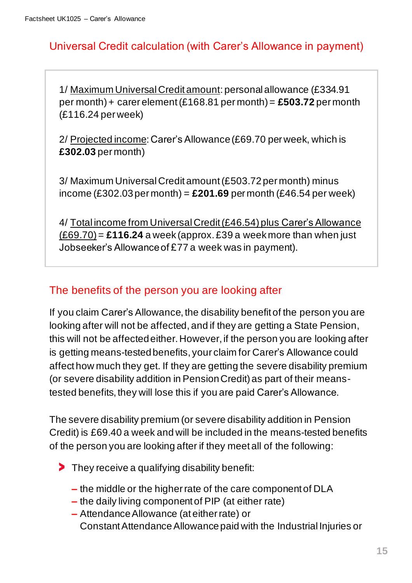#### Universal Credit calculation (with Carer's Allowance in payment)

1/ Maximum Universal Credit amount: personal allowance (£334.91 per month) + carer element (£168.81 per month) = **£503.72** per month (£116.24 per week)

2/ Projected income: Carer's Allowance (£69.70 per week, which is **£302.03** per month)

3/ Maximum Universal Credit amount (£503.72 per month) minus income (£302.03 per month) = **£201.69** per month (£46.54 per week)

4/ Total income from Universal Credit (£46.54) plus Carer's Allowance (£69.70)= **£116.24** a week (approx. £39 a week more than when just Jobseeker's Allowance of £77 a week was in payment).

#### The benefits of the person you are looking after

If you claim Carer's Allowance, the disability benefit of the person you are looking after will not be affected, and if they are getting a State Pension, this will not be affected either. However, if the person you are looking after is getting means-tested benefits, your claim for Carer's Allowance could affect how much they get. If they are getting the severe disability premium (or severe disability addition in Pension Credit) as part of their meanstested benefits, they will lose this if you are paid Carer's Allowance.

The severe disability premium (or severe disability addition in Pension Credit) is £69.40 a week and will be included in the means-tested benefits of the person you are looking after if they meet all of the following:

- They receive a qualifying disability benefit:
	- **–** the middle or the higher rate of the care component of DLA
	- **–** the daily living component of PIP (at either rate)
	- **–** Attendance Allowance (at either rate) or Constant AttendanceAllowance paid with the Industrial Injuries or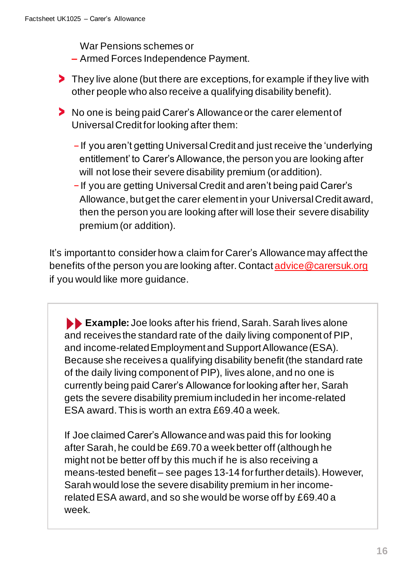War Pensions schemes or

- **–** Armed Forces Independence Payment.
- **They live alone (but there are exceptions, for example if they live with** other people who also receive a qualifying disability benefit).
- No one is being paid Carer's Allowance or the carer element of Universal Credit for looking after them:
	- **–** If you aren't getting Universal Credit and just receive the 'underlying entitlement' to Carer's Allowance, the person you are looking after will not lose their severe disability premium (or addition).
	- **–** If you are getting Universal Credit and aren't being paid Carer's Allowance, but get the carer element in your Universal Credit award, then the person you are looking after will lose their severe disability premium (or addition).

It's important to consider how a claim for Carer's Allowance may affect the benefits of the person you are looking after. Contac[t advice@carersuk.org](mailto:advice@carersuk.org) if you would like more guidance.

**Example:** Joe looks after his friend, Sarah. Sarah lives alone and receives the standard rate of the daily living component of PIP, and income-relatedEmployment and Support Allowance (ESA). Because she receives a qualifying disability benefit (the standard rate of the daily living component of PIP), lives alone, and no one is currently being paid Carer's Allowance for looking after her, Sarah gets the severe disability premium included in her income-related ESA award. This is worth an extra £69.40 a week.

If Joe claimed Carer's Allowance and was paid this for looking after Sarah, he could be £69.70 a week better off (although he might not be better off by this much if he is also receiving a means-tested benefit – see pages 13-14 for further details). However, Sarah would lose the severe disability premium in her incomerelated ESA award, and so she would be worse off by £69.40 a week.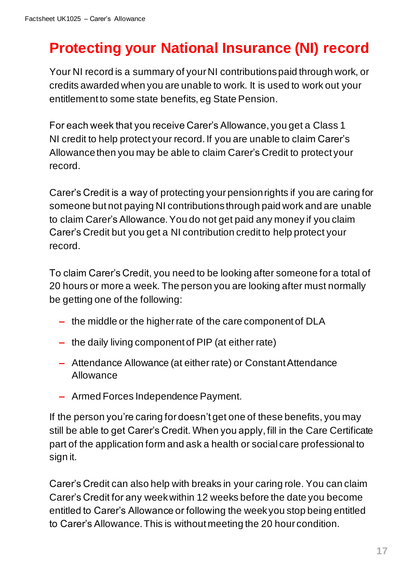# **Protecting your National Insurance (NI) record**

Your NI record is a summary of your NI contributions paid through work, or credits awarded when you are unable to work. It is used to work out your entitlement to some state benefits, eg State Pension.

For each week that you receive Carer's Allowance, you get a Class 1 NI credit to help protect your record. If you are unable to claim Carer's Allowance then you may be able to claim Carer's Credit to protect your record.

Carer's Credit is a way of protecting your pension rights if you are caring for someone but not paying NI contributions through paid work and are unable to claim Carer's Allowance. You do not get paid any money if you claim Carer's Credit but you get a NI contribution credit to help protect your record.

To claim Carer's Credit, you need to be looking after someone for a total of 20 hours or more a week. The person you are looking after must normally be getting one of the following:

- **–** the middle or the higher rate of the care component of DLA
- **–** the daily living component of PIP (at either rate)
- **–** Attendance Allowance (at either rate) or Constant Attendance Allowance
- **–** Armed Forces Independence Payment.

If the person you're caring for doesn't get one of these benefits, you may still be able to get Carer's Credit. When you apply, fill in the Care Certificate part of the application form and ask a health or social care professional to sign it.

Carer's Credit can also help with breaks in your caring role. You can claim Carer's Credit for any week within 12 weeks before the date you become entitled to Carer's Allowance or following the week you stop being entitled to Carer's Allowance. This is without meeting the 20 hour condition.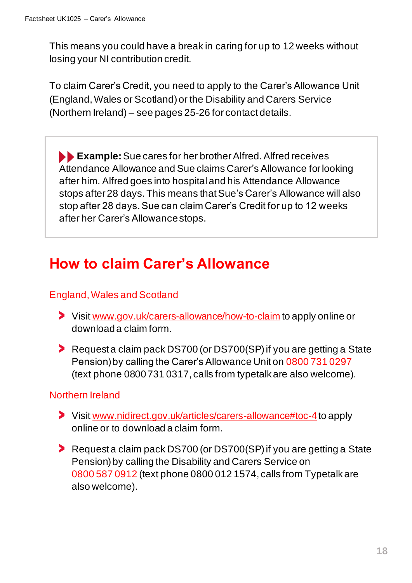This means you could have a break in caring for up to 12 weeks without losing your NI contribution credit.

To claim Carer's Credit, you need to apply to the Carer's Allowance Unit (England, Wales or Scotland) or the Disability and Carers Service (Northern Ireland) – see pages 25-26 for contact details.

**Example:** Sue cares for her brother Alfred. Alfred receives Attendance Allowance and Sue claims Carer's Allowance for looking after him. Alfred goes into hospital and his Attendance Allowance stops after 28 days.This means that Sue's Carer's Allowance will also stop after 28 days. Sue can claim Carer's Credit for up to 12 weeks after her Carer's Allowancestops.

### **How to claim Carer's Allowance**

#### England, Wales and Scotland

- Visit [www.gov.uk/carers-allowance/how-to-claim](http://www.gov.uk/carers-allowance/how-to-claim) to apply online or download a claim form.
- Request a claim pack DS700 (or DS700(SP) if you are getting a State Pension) by calling the Carer's Allowance Unit on 0800 731 0297 (text phone 0800 731 0317, calls from typetalk are also welcome).

#### Northern Ireland

- Visit [www.nidirect.gov.uk/articles/carers-allowance#toc-4](http://www.nidirect.gov.uk/articles/carers-allowance#toc-4)to apply online or to download a claim form.
- Request a claim pack DS700 (or DS700(SP) if you are getting a State Pension) by calling the Disability and Carers Service on 0800 587 0912 (text phone 0800 012 1574, calls from Typetalk are also welcome).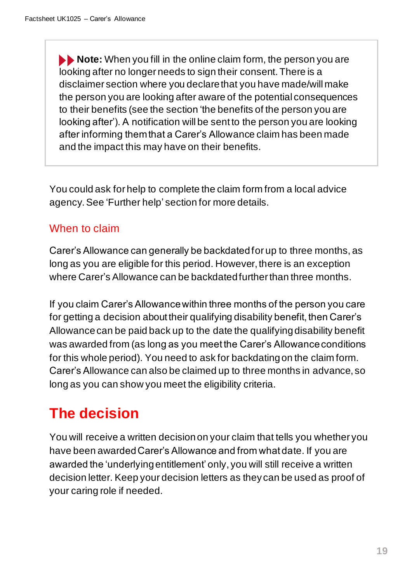**Note:** When you fill in the online claim form, the person you are looking after no longer needs to sign their consent. There is a disclaimer section where you declare that you have made/will make the person you are looking after aware of the potential consequences to their benefits (see the section 'the benefits of the person you are looking after'). A notification will be sent to the person you are looking after informing them that a Carer's Allowance claim has been made and the impact this may have on their benefits.

You could ask for help to complete the claim form from a local advice agency. See 'Further help' section for more details.

#### When to claim

Carer's Allowance can generally be backdated for up to three months, as long as you are eligible for this period. However, there is an exception where Carer's Allowance can be backdated further than three months.

If you claim Carer's Allowance within three months of the person you care for getting a decision about their qualifying disability benefit, then Carer's Allowance can be paid back up to the date the qualifyingdisability benefit was awarded from (as long as you meet the Carer's Allowance conditions for this whole period). You need to ask for backdating on the claim form. Carer's Allowance can also be claimed up to three months in advance, so long as you can show you meet the eligibility criteria.

# **The decision**

You will receive a written decision on your claim that tells you whether you have been awarded Carer's Allowance and from what date. If you are awarded the 'underlying entitlement' only, you will still receive a written decision letter. Keep your decision letters as they can be used as proof of your caring role if needed.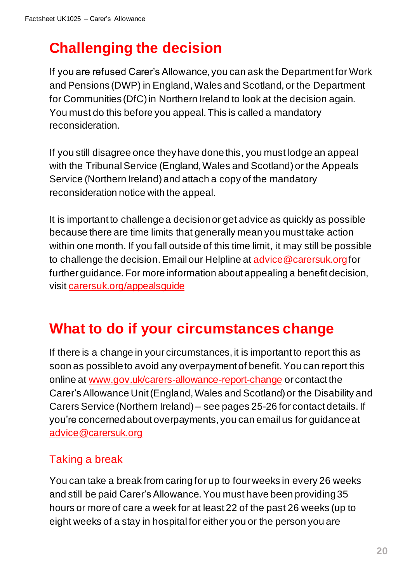# **Challenging the decision**

If you are refused Carer's Allowance, you can ask the Department for Work and Pensions (DWP) in England, Wales and Scotland, or the Department for Communities (DfC) in Northern Ireland to look at the decision again. You must do this before you appeal. This is called a mandatory reconsideration.

If you still disagree once they have done this, you must lodge an appeal with the Tribunal Service (England, Wales and Scotland) or the Appeals Service (Northern Ireland) and attach a copy of the mandatory reconsideration notice with the appeal.

It is important to challenge a decisionor get advice as quickly as possible because there are time limits that generally mean you must take action within one month. If you fall outside of this time limit, it may still be possible to challenge the decision. Email our Helpline at [advice@carersuk.org](mailto:advice@carersuk.org)for further guidance. For more information about appealing a benefit decision, visit [carersuk.org/appealsguide](https://www.carersuk.org/help-and-advice/financial-support/help-with-benefits/challenging-a-benefit-decision)

# **What to do if your circumstances change**

If there is a change in your circumstances, it is important to report this as soon as possible to avoid any overpayment of benefit.You can report this online at [www.gov.uk/carers-allowance-report-change](https://www.gov.uk/carers-allowance-report-change) or contact the Carer's Allowance Unit (England, Wales and Scotland) or the Disability and Carers Service (Northern Ireland) – see pages 25-26 for contact details. If you're concernedabout overpayments, you can email us for guidance at [advice@carersuk.org](mailto:advice@carersuk.org?subject=Overpayment%20concern%20-%20Carer)

#### Taking a break

You can take a break from caring for up to four weeks in every 26 weeks and still be paid Carer's Allowance. You must have been providing35 hours or more of care a week for at least 22 of the past 26 weeks (up to eight weeks of a stay in hospital for either you or the person you are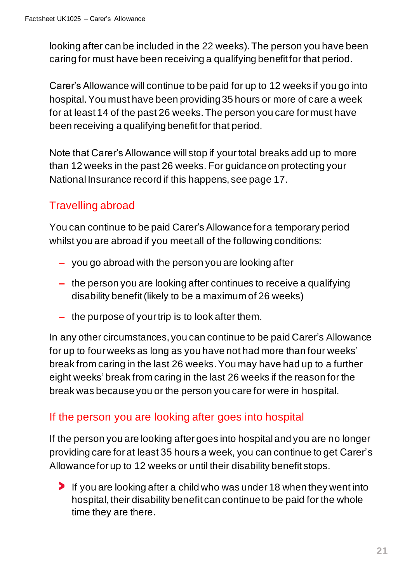looking after can be included in the 22 weeks). The person you have been caring for must have been receiving a qualifying benefit for that period.

Carer's Allowance will continue to be paid for up to 12 weeks if you go into hospital. You must have been providing 35 hours or more of care a week for at least 14 of the past 26 weeks. The person you care for must have been receiving a qualifying benefit for that period.

Note that Carer's Allowance will stop if your total breaks add up to more than 12 weeks in the past 26 weeks. For guidance on protecting your National Insurance record if this happens, see page 17.

#### Travelling abroad

You can continue to be paid Carer's Allowance for a temporary period whilst you are abroad if you meet all of the following conditions:

- **–** you go abroad with the person you are looking after
- **–** the person you are looking after continues to receive a qualifying disability benefit (likely to be a maximum of 26 weeks)
- **–** the purpose of your trip is to look after them.

In any other circumstances, you can continue to be paid Carer's Allowance for up to four weeks as long as you have not had more than four weeks' break from caring in the last 26 weeks. You may have had up to a further eight weeks' break from caring in the last 26 weeks if the reason for the break was because you or the person you care for were in hospital.

#### If the person you are looking after goes into hospital

If the person you are looking after goes into hospital and you are no longer providing care for at least 35 hours a week, you can continue to get Carer's Allowance for up to 12 weeks or until their disability benefit stops.

If you are looking after a child who was under 18 when they went into hospital, their disability benefit can continue to be paid for the whole time they are there.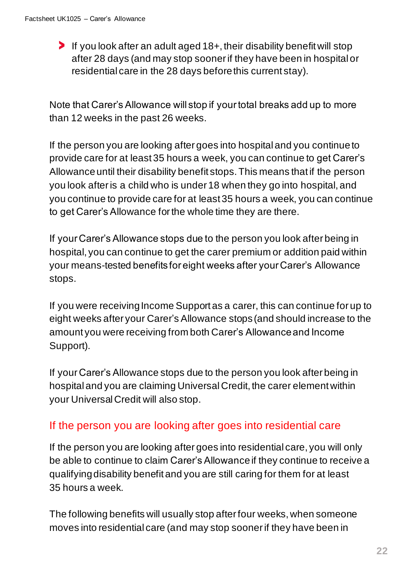If you look after an adult aged 18+, their disability benefit will stop after 28 days (and may stop sooner if they have been in hospital or residential care in the 28 days before this current stay).

Note that Carer's Allowance will stop if your total breaks add up to more than 12 weeks in the past 26 weeks.

If the person you are looking after goes into hospital and you continue to provide care for at least 35 hours a week, you can continue to get Carer's Allowance until their disability benefit stops. This means that if the person you look after is a child who is under 18 when they go into hospital, and you continue to provide care for at least 35 hours a week, you can continue to get Carer's Allowance for the whole time they are there.

If your Carer's Allowance stops due to the person you look after being in hospital, you can continue to get the carer premium or addition paid within your means-tested benefits for eight weeks after your Carer's Allowance stops.

If you were receiving Income Support as a carer, this can continue for up to eight weeks after your Carer's Allowance stops (and should increase to the amount you were receiving from both Carer's Allowance and Income Support).

If your Carer's Allowance stops due to the person you look after being in hospital and you are claiming Universal Credit, the carer element within your Universal Credit will also stop.

#### If the person you are looking after goes into residential care

If the person you are looking after goes into residential care, you will only be able to continue to claim Carer's Allowance if they continue to receive a qualifying disability benefit and you are still caring for them for at least 35 hours a week.

The following benefits will usually stop after four weeks, when someone moves into residential care (and may stop sooner if they have been in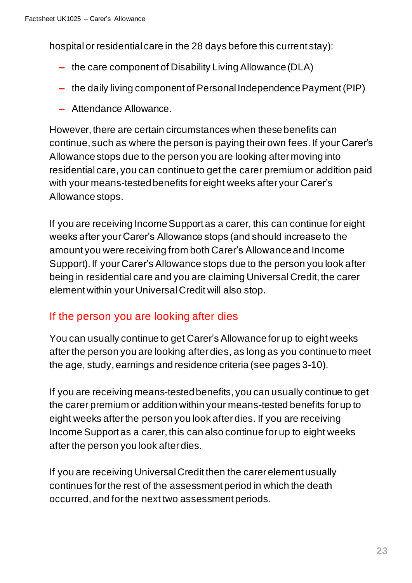hospital or residential care in the 28 days before this current stay):

- **–** the care component of Disability Living Allowance (DLA)
- **–** the daily living component of Personal Independence Payment (PIP)
- **–** Attendance Allowance.

However, there are certain circumstances when these benefits can continue, such as where the person is paying their own fees. If your Carer's Allowance stops due to the person you are looking after moving into residential care, you can continue to get the carer premium or addition paid with your means-tested benefits for eight weeks after your Carer's Allowance stops.

If you are receiving Income Support as a carer, this can continue for eight weeks after your Carer's Allowance stops (and should increase to the amount you were receiving from both Carer's Allowance and Income Support). If your Carer's Allowance stops due to the person you look after being in residential care and you are claiming Universal Credit, the carer element within your Universal Credit will also stop.

#### If the person you are looking after dies

You can usually continue to get Carer's Allowance for up to eight weeks after the person you are looking after dies, as long as you continue to meet the age, study, earnings and residence criteria (see pages 3-10).

If you are receiving means-tested benefits, you can usually continue to get the carer premium or addition within your means-tested benefits for up to eight weeks after the person you look after dies. If you are receiving Income Support as a carer, this can also continue for up to eight weeks after the person you look after dies.

If you are receiving Universal Credit then the carer element usually continues for the rest of the assessment period in which the death occurred, and for the next two assessment periods.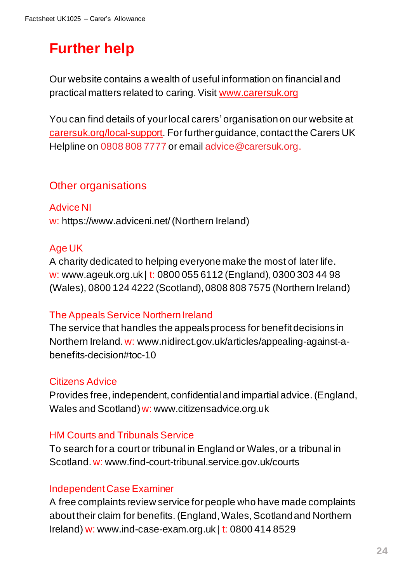# **Further help**

Our website contains a wealth of useful information on financial and practical matters related to caring. Visit [www.carersuk.org](https://www.carersuk.org/)

You can find details of your local carers' organisation on our website at [carersuk.org/local-support](http://www.carersuk.org/local-support). For further guidance, contact the Carers UK Helpline on 0808 808 7777 or email advice@carersuk.org.

#### Other organisations

Advice NI w: <https://www.adviceni.net/>(Northern Ireland)

#### Age UK

A charity dedicated to helping everyone make the most of later life. w: www.ageuk.org.uk | t: 0800 055 6112 (England), 0300 303 44 98 (Wales), 0800 124 4222 (Scotland), 0808 808 7575 (Northern Ireland)

#### The Appeals Service Northern Ireland

The service that handles the appeals process for benefit decisions in Northern Ireland. w: www.nidirect.gov.uk/articles/appealing-against-abenefits-decision#toc-10

#### Citizens Advice

Provides free, independent, confidential and impartial advice.(England, Wales and Scotland) w: [www.citizensadvice.org.uk](http://www.citizensadvice.org.uk/)

#### HM Courts and Tribunals Service

To search for a court or tribunal in England or Wales, or a tribunal in Scotland.w: <www.find-court-tribunal.service.gov.uk/courts>

#### Independent Case Examiner

A free complaints review service for people who have made complaints about their claim for benefits. (England, Wales, Scotland and Northern Ireland) w: www.ind-case-exam.org.uk | t: 0800 414 8529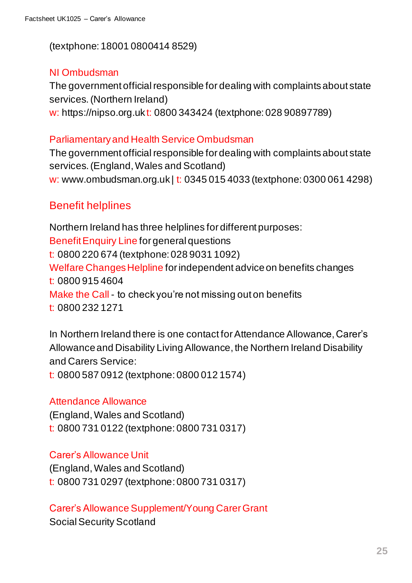(textphone: 18001 0800414 8529)

#### NI Ombudsman

The government official responsible for dealing with complaints about state services. (Northern Ireland)

w: https://nipso.org.uk t: 0800 343424 (textphone: 028 90897789)

#### Parliamentary and Health Service Ombudsman

The government official responsible for dealing with complaintsabout state services.(England, Wales and Scotland) w: www.ombudsman.org.uk | t: 0345 015 4033 (textphone: 0300 061 4298)

#### Benefit helplines

Northern Ireland has three helplines for different purposes: Benefit Enquiry Line for general questions t: 0800 220 674 (textphone: 028 9031 1092) Welfare Changes Helpline for independent advice on benefits changes t: 0800 915 4604 Make the Call - to check you're not missing out on benefits t: 0800 232 1271

In Northern Ireland there is one contact for Attendance Allowance, Carer's Allowance and Disability Living Allowance, the Northern Ireland Disability and Carers Service:

t: 0800 587 0912 (textphone: 0800 012 1574)

#### Attendance Allowance

(England, Wales and Scotland) t: 0800 731 0122 (textphone: 0800 731 0317)

Carer's Allowance Unit

(England, Wales and Scotland) t: 0800 731 0297 (textphone: 0800 731 0317)

Carer's Allowance Supplement/Young Carer Grant Social Security Scotland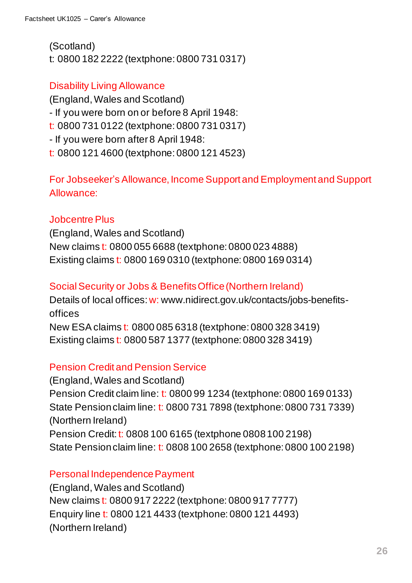(Scotland) t: 0800 182 2222 (textphone: 0800 731 0317)

#### Disability Living Allowance

(England, Wales and Scotland) - If you were born on or before 8 April 1948: t: 0800 731 0122 (textphone: 0800 731 0317) - If you were born after 8 April 1948: t: 0800 121 4600 (textphone: 0800 121 4523)

For Jobseeker's Allowance, Income Support and Employment and Support Allowance:

#### Jobcentre Plus

(England, Wales and Scotland) New claims t: 0800 055 6688 (textphone: 0800 023 4888) Existing claims t: 0800 169 0310 (textphone: 0800 169 0314)

#### Social Security or Jobs & Benefits Office (Northern Ireland)

Details of local offices: w[: www.nidirect.gov.uk/contacts/jobs-benefits](http://www.nidirect.gov.uk/contacts/jobs-benefits-offices)[offices](http://www.nidirect.gov.uk/contacts/jobs-benefits-offices) New ESA claims t: 0800 085 6318 (textphone: 0800 328 3419) Existing claims t: 0800 587 1377 (textphone: 0800 328 3419)

#### Pension Credit and Pension Service

(England, Wales and Scotland) Pension Credit claim line: t: 0800 99 1234 (textphone: 0800 169 0133) State Pension claim line: t: 0800 731 7898 (textphone: 0800 731 7339) (Northern Ireland) Pension Credit: t: 0808 100 6165 (textphone 0808 100 2198) State Pension claim line: t: 0808 100 2658 (textphone: 0800 100 2198)

#### Personal Independence Payment

(England,Wales and Scotland) New claims t: 0800 917 2222 (textphone: 0800 917 7777) Enquiry line t: 0800 121 4433 (textphone: 0800 121 4493) (Northern Ireland)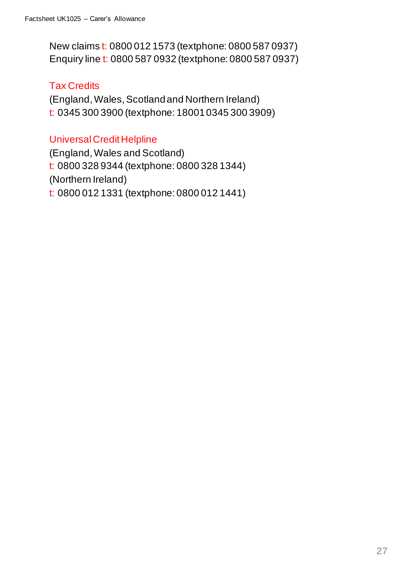New claims t: 0800 012 1573 (textphone: 0800 587 0937) Enquiry line t: 0800 587 0932 (textphone: 0800 587 0937)

#### Tax Credits

(England, Wales, Scotland and Northern Ireland) t: 0345 300 3900 (textphone: 180010345 300 3909)

#### Universal Credit Helpline

(England, Wales and Scotland) t: 0800 328 9344 (textphone: 0800 328 1344) (Northern Ireland) t: 0800 012 1331 (textphone: 0800 012 1441)